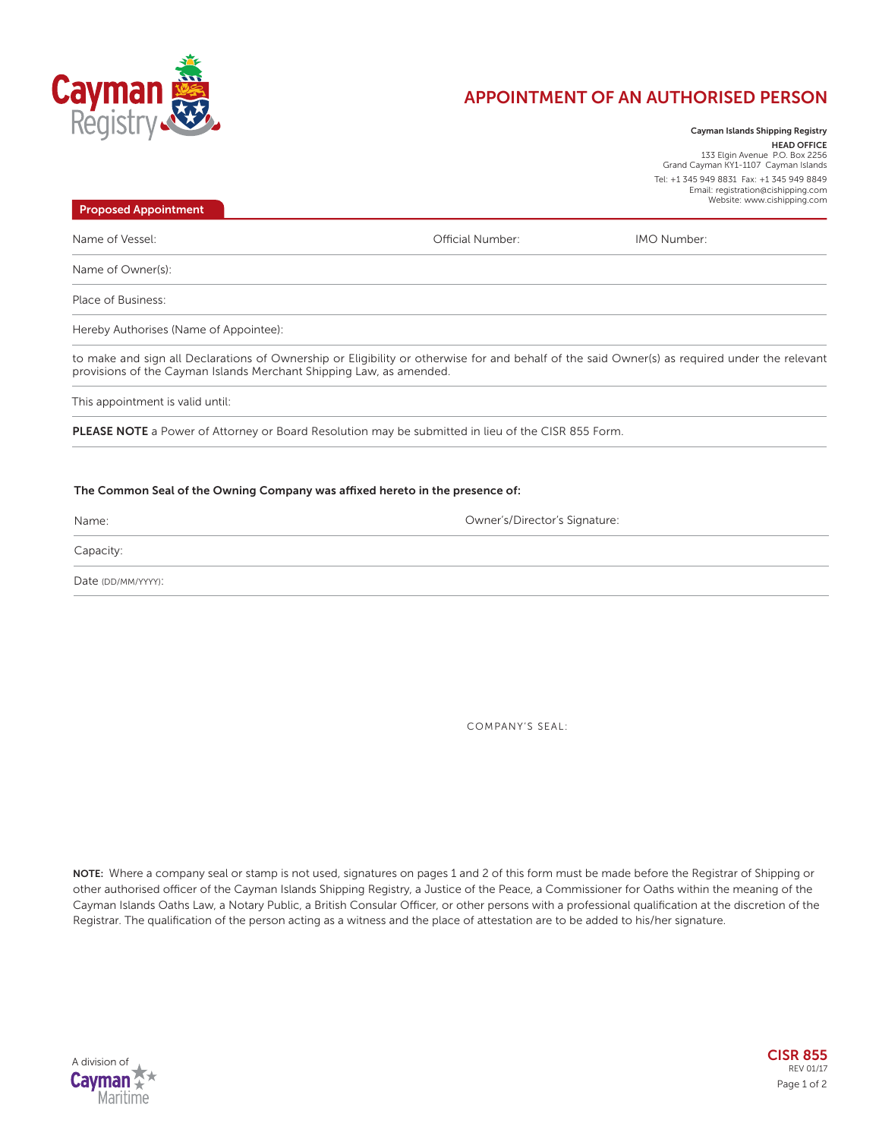

## **APPOINTMENT OF AN AUTHORISED PERSON**

**Cayman Islands Shipping Registry HEAD OFFICE** 133 Elgin Avenue P.O. Box 2256 Grand Cayman KY1-1107 Cayman Islands Tel: +1 345 949 8831 Fax: +1 345 949 8849 Email: registration@cishipping.com Website: www.cishipping.com

to make and sign all Declarations of Ownership or Eligibility or otherwise for and behalf of the said Owner(s) as required under the relevant provisions of the Cayman Islands Merchant Shipping Law, as amended. Name of Vessel: Name of Owner(s): Place of Business: Hereby Authorises (Name of Appointee): **PLEASE NOTE** a Power of Attorney or Board Resolution may be submitted in lieu of the CISR 855 Form. **Proposed Appointment** Official Number: This appointment is valid until: IMO Number:

## **The Common Seal of the Owning Company was affixed hereto in the presence of:**

Name:

Owner's/Director's Signature:

Capacity:

Date (DD/MM/YYYY):

COMPANY'S SEAL:

**NOTE:** Where a company seal or stamp is not used, signatures on pages 1 and 2 of this form must be made before the Registrar of Shipping or other authorised officer of the Cayman Islands Shipping Registry, a Justice of the Peace, a Commissioner for Oaths within the meaning of the Cayman Islands Oaths Law, a Notary Public, a British Consular Officer, or other persons with a professional qualification at the discretion of the Registrar. The qualification of the person acting as a witness and the place of attestation are to be added to his/her signature.